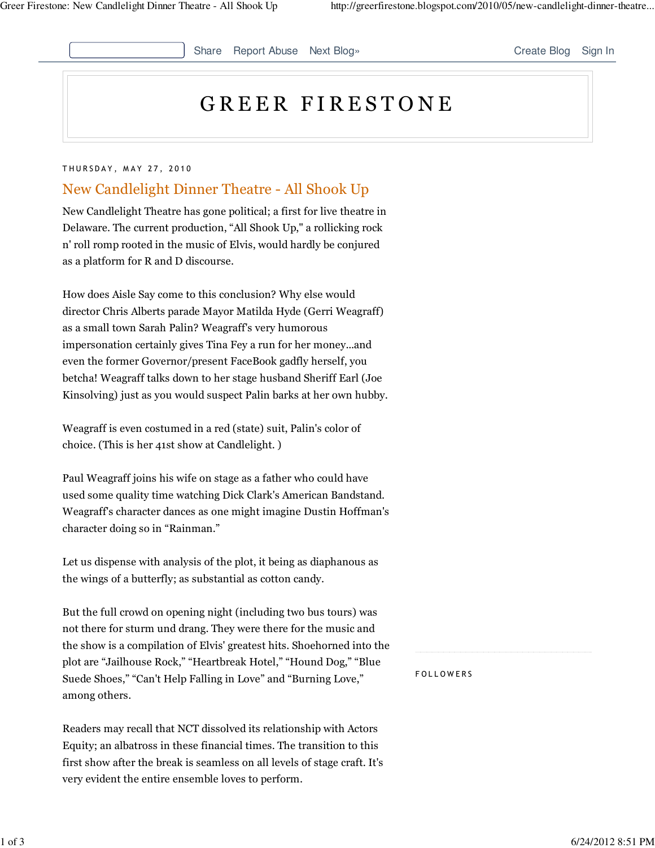Share Report Abuse Next Blog» Create Blog Sign In

# GREER FIRESTONE

#### THURSDAY, MAY 27, 2010

# New Candlelight Dinner Theatre - All Shook Up

New Candlelight Theatre has gone political; a first for live theatre in Delaware. The current production, "All Shook Up," a rollicking rock n' roll romp rooted in the music of Elvis, would hardly be conjured as a platform for R and D discourse.

How does Aisle Say come to this conclusion? Why else would director Chris Alberts parade Mayor Matilda Hyde (Gerri Weagraff) as a small town Sarah Palin? Weagraff's very humorous impersonation certainly gives Tina Fey a run for her money...and even the former Governor/present FaceBook gadfly herself, you betcha! Weagraff talks down to her stage husband Sheriff Earl (Joe Kinsolving) just as you would suspect Palin barks at her own hubby.

Weagraff is even costumed in a red (state) suit, Palin's color of choice. (This is her 41st show at Candlelight. )

Paul Weagraff joins his wife on stage as a father who could have used some quality time watching Dick Clark's American Bandstand. Weagraff's character dances as one might imagine Dustin Hoffman's character doing so in "Rainman."

Let us dispense with analysis of the plot, it being as diaphanous as the wings of a butterfly; as substantial as cotton candy.

But the full crowd on opening night (including two bus tours) was not there for sturm und drang. They were there for the music and the show is a compilation of Elvis' greatest hits. Shoehorned into the plot are "Jailhouse Rock," "Heartbreak Hotel," "Hound Dog," "Blue Suede Shoes," "Can't Help Falling in Love" and "Burning Love," among others.

Readers may recall that NCT dissolved its relationship with Actors Equity; an albatross in these financial times. The transition to this first show after the break is seamless on all levels of stage craft. It's very evident the entire ensemble loves to perform.

**FOLLOWERS**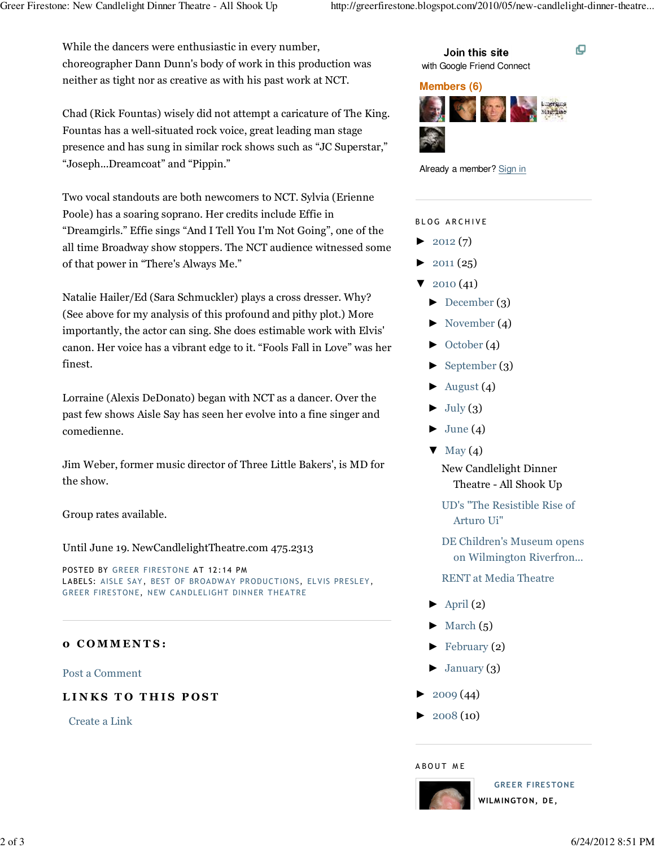o

While the dancers were enthusiastic in every number, choreographer Dann Dunn's body of work in this production was neither as tight nor as creative as with his past work at NCT.

Chad (Rick Fountas) wisely did not attempt a caricature of The King. Fountas has a well-situated rock voice, great leading man stage presence and has sung in similar rock shows such as "JC Superstar," "Joseph...Dreamcoat" and "Pippin."

Two vocal standouts are both newcomers to NCT. Sylvia (Erienne Poole) has a soaring soprano. Her credits include Effie in "Dreamgirls." Effie sings "And I Tell You I'm Not Going", one of the all time Broadway show stoppers. The NCT audience witnessed some of that power in "There's Always Me."

Natalie Hailer/Ed (Sara Schmuckler) plays a cross dresser. Why? (See above for my analysis of this profound and pithy plot.) More importantly, the actor can sing. She does estimable work with Elvis' canon. Her voice has a vibrant edge to it. "Fools Fall in Love" was her finest.

Lorraine (Alexis DeDonato) began with NCT as a dancer. Over the past few shows Aisle Say has seen her evolve into a fine singer and comedienne.

Jim Weber, former music director of Three Little Bakers', is MD for the show.

Group rates available.

Until June 19. NewCandlelightTheatre.com 475.2313

POSTED BY GREER FIRESTONE AT 12:14 PM LABELS: AISLE SAY, BEST OF BROADWAY PRODUCTIONS, ELVIS PRESLEY, GREER FIRESTONE, NEW CANDLELIGHT DINNER THEATRE

## 0 C O M M E N T S :

Post a Comment

## LINKS TO THIS POST

Create a Link



#### **Members (6)**





#### BLOG ARCHIVE

- $\blacktriangleright$  2012 (7)
- $\blacktriangleright$  2011 (25)
- $\blacktriangledown$  2010 (41)
	- ► December (3)
	- $\blacktriangleright$  November (4)
	- ► October (4)
	- ► September (3)
	- $\blacktriangleright$  August (4)
	- $\blacktriangleright$  July (3)
	- $\blacktriangleright$  June (4)
	- $\nabla$  May (4)

New Candlelight Dinner Theatre - All Shook Up

UD's "The Resistible Rise of Arturo Ui"

DE Children's Museum opens on Wilmington Riverfron...

RENT at Media Theatre

- $\blacktriangleright$  April (2)
- $\blacktriangleright$  March (5)
- $\blacktriangleright$  February (2)
- $\blacktriangleright$  January (3)
- $2009(44)$
- $▶ 2008(10)$

#### A BOUT ME



GREER FIRESTONE WILM INGTON, DE,